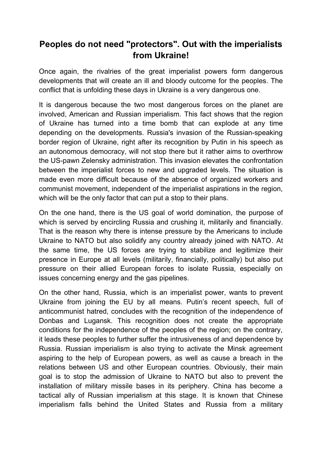## **Peoples do not need "protectors". Out with the imperialists from Ukraine!**

Once again, the rivalries of the great imperialist powers form dangerous developments that will create an ill and bloody outcome for the peoples. The conflict that is unfolding these days in Ukraine is a very dangerous one.

It is dangerous because the two most dangerous forces on the planet are involved, American and Russian imperialism. This fact shows that the region of Ukraine has turned into a time bomb that can explode at any time depending on the developments. Russia's invasion of the Russian-speaking border region of Ukraine, right after its recognition by Putin in his speech as an autonomous democracy, will not stop there but it rather aims to overthrow the US-pawn Zelensky administration. This invasion elevates the confrontation between the imperialist forces to new and upgraded levels. The situation is made even more difficult because of the absence of organized workers and communist movement, independent of the imperialist aspirations in the region, which will be the only factor that can put a stop to their plans.

On the one hand, there is the US goal of world domination, the purpose of which is served by encircling Russia and crushing it, militarily and financially. That is the reason why there is intense pressure by the Americans to include Ukraine to NATO but also solidify any country already joined with NATO. At the same time, the US forces are trying to stabilize and legitimize their presence in Europe at all levels (militarily, financially, politically) but also put pressure on their allied European forces to isolate Russia, especially on issues concerning energy and the gas pipelines.

On the other hand, Russia, which is an imperialist power, wants to prevent Ukraine from joining the EU by all means. Putin's recent speech, full of anticommunist hatred, concludes with the recognition of the independence of Donbas and Lugansk. This recognition does not create the appropriate conditions for the independence of the peoples of the region; on the contrary, it leads these peoples to further suffer the intrusiveness of and dependence by Russia. Russian imperialism is also trying to activate the Minsk agreement aspiring to the help of European powers, as well as cause a breach in the relations between US and other European countries. Obviously, their main goal is to stop the admission of Ukraine to NATO but also to prevent the installation of military missile bases in its periphery. China has become a tactical ally of Russian imperialism at this stage. It is known that Chinese imperialism falls behind the United States and Russia from a military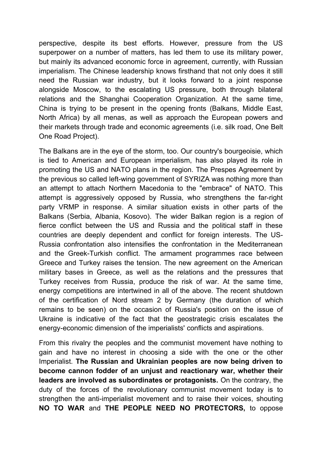perspective, despite its best efforts. However, pressure from the US superpower on a number of matters, has led them to use its military power, but mainly its advanced economic force in agreement, currently, with Russian imperialism. The Chinese leadership knows firsthand that not only does it still need the Russian war industry, but it looks forward to a joint response alongside Moscow, to the escalating US pressure, both through bilateral relations and the Shanghai Cooperation Organization. At the same time, China is trying to be present in the opening fronts (Balkans, Middle East, North Africa) by all menas, as well as approach the European powers and their markets through trade and economic agreements (i.e. silk road, One Belt One Road Project).

The Balkans are in the eye of the storm, too. Our country's bourgeoisie, which is tied to American and European imperialism, has also played its role in promoting the US and NATO plans in the region. The Prespes Agreement by the previous so called left-wing government of SYRIZA was nothing more than an attempt to attach Northern Macedonia to the "embrace" of NATO. This attempt is aggressively opposed by Russia, who strengthens the far-right party VRMP in response. A similar situation exists in other parts of the Balkans (Serbia, Albania, Kosovo). The wider Balkan region is a region of fierce conflict between the US and Russia and the political staff in these countries are deeply dependent and conflict for foreign interests. The US-Russia confrontation also intensifies the confrontation in the Mediterranean and the Greek-Turkish conflict. The armament programmes race between Greece and Turkey raises the tension. The new agreement on the American military bases in Greece, as well as the relations and the pressures that Turkey receives from Russia, produce the risk of war. At the same time, energy competitions are intertwined in all of the above. The recent shutdown of the certification of Nord stream 2 by Germany (the duration of which remains to be seen) on the occasion of Russia's position on the issue of Ukraine is indicative of the fact that the geostrategic crisis escalates the energy-economic dimension of the imperialists' conflicts and aspirations.

From this rivalry the peoples and the communist movement have nothing to gain and have no interest in choosing a side with the one or the other Imperialist. **The Russian and Ukrainian peoples are now being driven to become cannon fodder of an unjust and reactionary war, whether their leaders are involved as subordinates or protagonists.** On the contrary, the duty of the forces of the revolutionary communist movement today is to strengthen the anti-imperialist movement and to raise their voices, shouting **NO TO WAR** and **THE PEOPLE NEED NO PROTECTORS,** to oppose